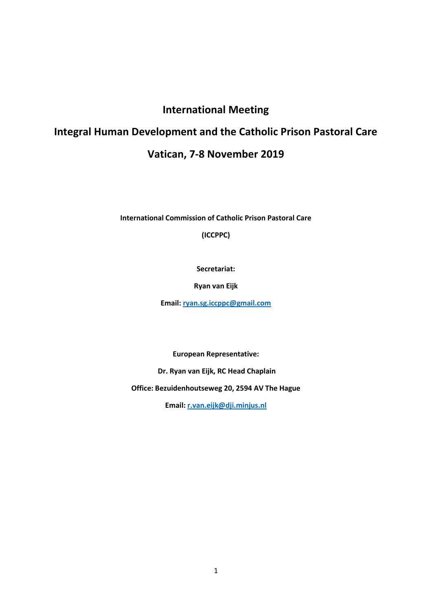# **International Meeting**

# **Integral Human Development and the Catholic Prison Pastoral Care**

# **Vatican, 7-8 November 2019**

**International Commission of Catholic Prison Pastoral Care**

**(ICCPPC)**

**Secretariat:** 

**Ryan van Eijk**

**Email: [ryan.sg.iccppc@gmail.com](mailto:ryan.sg.iccppc@gmail.com)**

**European Representative:**

**Dr. Ryan van Eijk, RC Head Chaplain**

**Office: Bezuidenhoutseweg 20, 2594 AV The Hague**

**Email[: r.van.eijk@dji.minjus.nl](mailto:r.van.eijk@dji.minjus.nl)**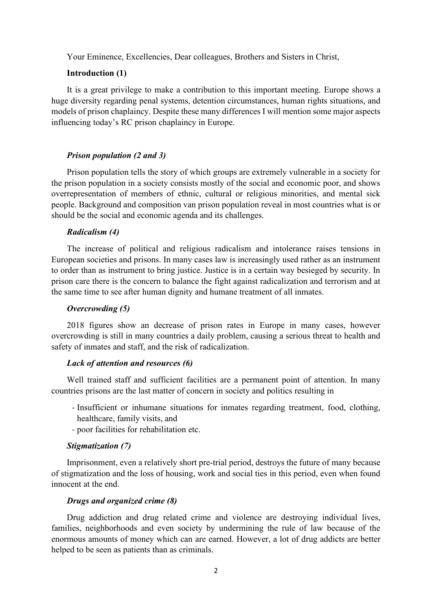Your Eminence, Excellencies, Dear colleagues, Brothers and Sisters in Christ,

# **Introduction (1)**

It is a great privilege to make a contribution to this important meeting. Europe shows a huge diversity regarding penal systems, detention circumstances, human rights situations, and models of prison chaplaincy. Despite these many differences I will mention some major aspects influencing today's RC prison chaplaincy in Europe.

#### *Prison population (2 and 3)*

Prison population tells the story of which groups are extremely vulnerable in a society for the prison population in a society consists mostly of the social and economic poor, and shows overrepresentation of members of ethnic, cultural or religious minorities, and mental sick people. Background and composition van prison population reveal in most countries what is or should be the social and economic agenda and its challenges.

#### *Radicalism (4)*

The increase of political and religious radicalism and intolerance raises tensions in European societies and prisons. In many cases law is increasingly used rather as an instrument to order than as instrument to bring justice. Justice is in a certain way besieged by security. In prison care there is the concern to balance the fight against radicalization and terrorism and at the same time to see after human dignity and humane treatment of all inmates.

#### *Overcrowding (5)*

2018 figures show an decrease of prison rates in Europe in many cases, however overcrowding is still in many countries a daily problem, causing a serious threat to health and safety of inmates and staff, and the risk of radicalization.

#### *Lack of attention and resources (6)*

Well trained staff and sufficient facilities are a permanent point of attention. In many countries prisons are the last matter of concern in society and politics resulting in

- Insufficient or inhumane situations for inmates regarding treatment, food, clothing, healthcare, family visits, and
- poor facilities for rehabilitation etc.

#### *Stigmatization (7)*

Imprisonment, even a relatively short pre-trial period, destroys the future of many because of stigmatization and the loss of housing, work and social ties in this period, even when found innocent at the end.

#### *Drugs and organized crime (8)*

Drug addiction and drug related crime and violence are destroying individual lives, families, neighborhoods and even society by undermining the rule of law because of the enormous amounts of money which can are earned. However, a lot of drug addicts are better helped to be seen as patients than as criminals.